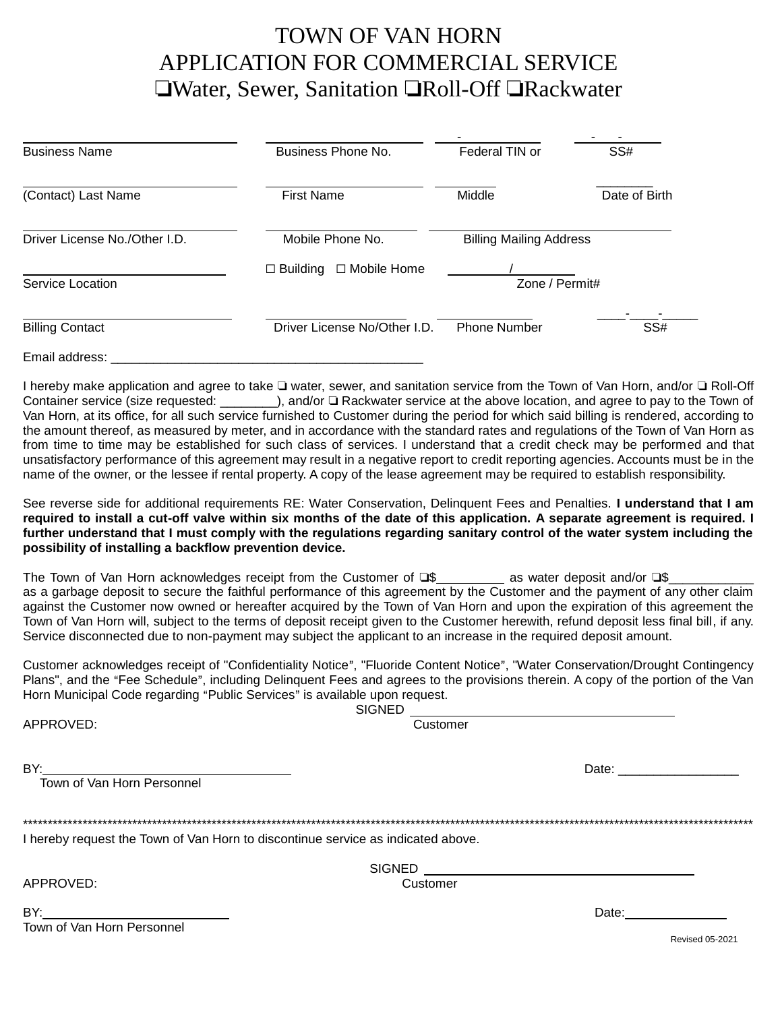## TOWN OF VAN HORN APPLICATION FOR COMMERCIAL SERVICE **Water, Sewer, Sanitation TRoll-Off TRackwater**

| <b>Business Name</b>          | Business Phone No.                  | Federal TIN or                 | SS#           |
|-------------------------------|-------------------------------------|--------------------------------|---------------|
| (Contact) Last Name           | <b>First Name</b>                   | Middle                         | Date of Birth |
| Driver License No./Other I.D. | Mobile Phone No.                    | <b>Billing Mailing Address</b> |               |
| Service Location              | $\Box$ Mobile Home<br>Building<br>П | Zone / Permit#                 |               |
| <b>Billing Contact</b>        | Driver License No/Other I.D.        | <b>Phone Number</b>            | SS#           |
| Email address:                |                                     |                                |               |

I hereby make application and agree to take I water, sewer, and sanitation service from the Town of Van Horn, and/or I Roll-Off Container service (size requested: \_\_\_\_\_\_\_), and/or  $\Box$  Rackwater service at the above location, and agree to pay to the Town of Van Horn, at its office, for all such service furnished to Customer during the period for which said billing is rendered, according to the amount thereof, as measured by meter, and in accordance with the standard rates and regulations of the Town of Van Horn as from time to time may be established for such class of services. I understand that a credit check may be performed and that unsatisfactory performance of this agreement may result in a negative report to credit reporting agencies. Accounts must be in the name of the owner, or the lessee if rental property. A copy of the lease agreement may be required to establish responsibility.

See reverse side for additional requirements RE: Water Conservation, Delinquent Fees and Penalties. **I understand that I am required to install a cut-off valve within six months of the date of this application. A separate agreement is required. I further understand that I must comply with the regulations regarding sanitary control of the water system including the possibility of installing a backflow prevention device.**

The Town of Van Horn acknowledges receipt from the Customer of  $\square$   $\ll$  as water deposit and/or  $\square$ as a garbage deposit to secure the faithful performance of this agreement by the Customer and the payment of any other claim against the Customer now owned or hereafter acquired by the Town of Van Horn and upon the expiration of this agreement the Town of Van Horn will, subject to the terms of deposit receipt given to the Customer herewith, refund deposit less final bill, if any. Service disconnected due to non-payment may subject the applicant to an increase in the required deposit amount.

Customer acknowledges receipt of "Confidentiality Notice", "Fluoride Content Notice", "Water Conservation/Drought Contingency Plans", and the "Fee Schedule", including Delinquent Fees and agrees to the provisions therein. A copy of the portion of the Van Horn Municipal Code regarding "Public Services" is available upon request.  $SIGNED$ 

| APPROVED:                                                                                                                                                  | Customer |                                                                                                                                                                                                                                |  |
|------------------------------------------------------------------------------------------------------------------------------------------------------------|----------|--------------------------------------------------------------------------------------------------------------------------------------------------------------------------------------------------------------------------------|--|
| BY:<br><u> 1989 - Johann Barn, mars ann an t-Amhair an t-Amhair an t-Amhair an t-Amhair an t-Amhair an t-Amhair an t-Amh</u><br>Town of Van Horn Personnel |          | Date: the contract of the contract of the contract of the contract of the contract of the contract of the contract of the contract of the contract of the contract of the contract of the contract of the contract of the cont |  |
| I hereby request the Town of Van Horn to discontinue service as indicated above.                                                                           |          |                                                                                                                                                                                                                                |  |
|                                                                                                                                                            |          |                                                                                                                                                                                                                                |  |
| APPROVED:                                                                                                                                                  | Customer |                                                                                                                                                                                                                                |  |
| Town of Van Horn Personnel                                                                                                                                 |          | Date: the contract of the contract of the contract of the contract of the contract of the contract of the contract of the contract of the contract of the contract of the contract of the contract of the contract of the cont |  |
|                                                                                                                                                            |          | <b>Revised 05-2021</b>                                                                                                                                                                                                         |  |